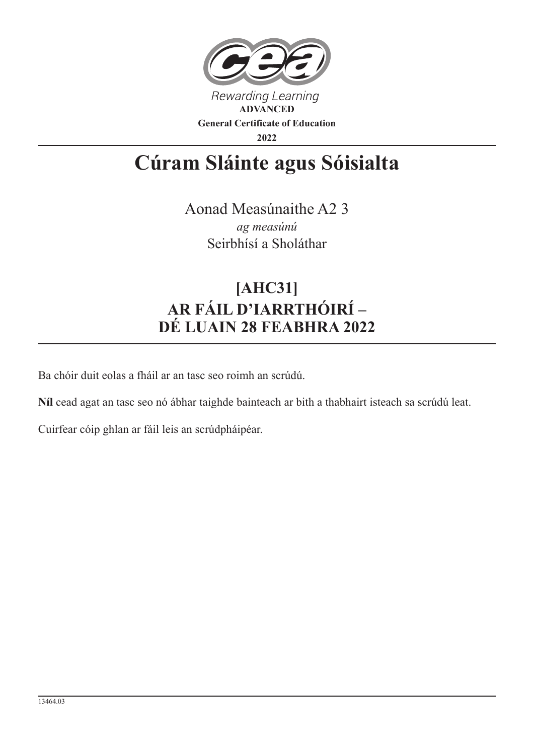

## **Cúram Sláinte agus Sóisialta**

Aonad Measúnaithe A2 3 *ag measúnú* Seirbhísí a Sholáthar

## **[AHC31] AR FÁIL D'IARRTHÓIRÍ – DÉ LUAIN 28 FEABHRA 2022**

Ba chóir duit eolas a fháil ar an tasc seo roimh an scrúdú.

**Níl** cead agat an tasc seo nó ábhar taighde bainteach ar bith a thabhairt isteach sa scrúdú leat.

Cuirfear cóip ghlan ar fáil leis an scrúdpháipéar.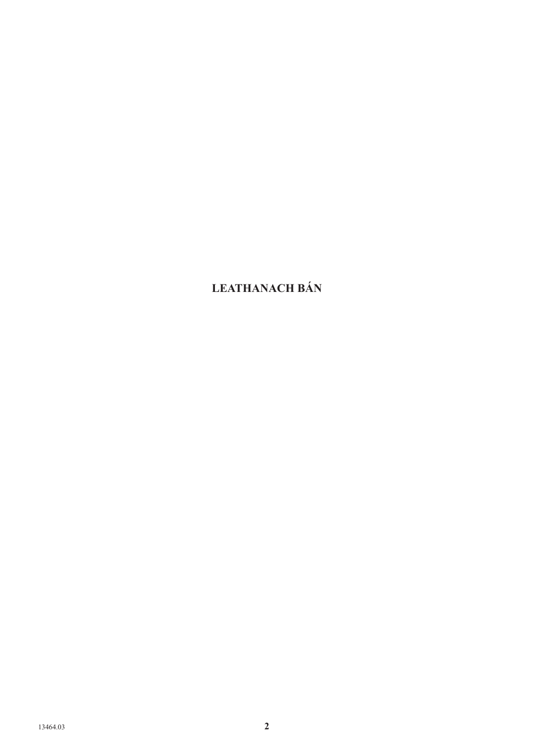## **LEATHANACH BÁN**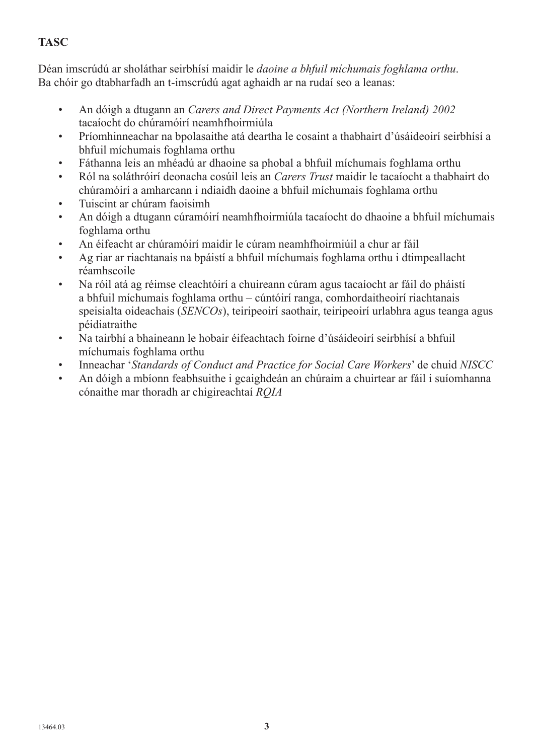## **TASC**

Déan imscrúdú ar sholáthar seirbhísí maidir le *daoine a bhfuil míchumais foghlama orthu*. Ba chóir go dtabharfadh an t-imscrúdú agat aghaidh ar na rudaí seo a leanas:

- An dóigh a dtugann an *Carers and Direct Payments Act (Northern Ireland) 2002* tacaíocht do chúramóirí neamhfhoirmiúla
- Príomhinneachar na bpolasaithe atá deartha le cosaint a thabhairt d'úsáideoirí seirbhísí a bhfuil míchumais foghlama orthu
- Fáthanna leis an mhéadú ar dhaoine sa phobal a bhfuil míchumais foghlama orthu
- Ról na soláthróirí deonacha cosúil leis an *Carers Trust* maidir le tacaíocht a thabhairt do chúramóirí a amharcann i ndiaidh daoine a bhfuil míchumais foghlama orthu
- Tuiscint ar chúram faoisimh
- An dóigh a dtugann cúramóirí neamhfhoirmiúla tacaíocht do dhaoine a bhfuil míchumais foghlama orthu
- An éifeacht ar chúramóirí maidir le cúram neamhfhoirmiúil a chur ar fáil
- Ag riar ar riachtanais na bpáistí a bhfuil míchumais foghlama orthu i dtimpeallacht réamhscoile
- Na róil atá ag réimse cleachtóirí a chuireann cúram agus tacaíocht ar fáil do pháistí a bhfuil míchumais foghlama orthu – cúntóirí ranga, comhordaitheoirí riachtanais speisialta oideachais (*SENCOs*), teiripeoirí saothair, teiripeoirí urlabhra agus teanga agus péidiatraithe
- Na tairbhí a bhaineann le hobair éifeachtach foirne d'úsáideoirí seirbhísí a bhfuil míchumais foghlama orthu
- Inneachar '*Standards of Conduct and Practice for Social Care Workers*' de chuid *NISCC*
- An dóigh a mbíonn feabhsuithe i gcaighdeán an chúraim a chuirtear ar fáil i suíomhanna cónaithe mar thoradh ar chigireachtaí *RQIA*